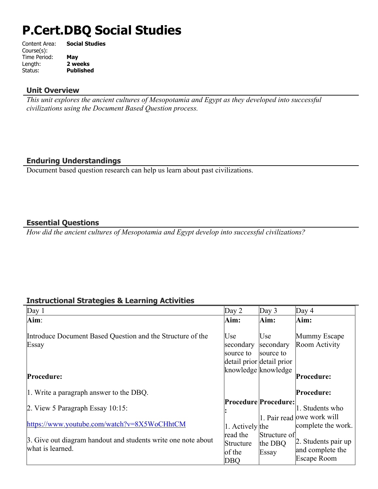# **P.Cert.DBQ Social Studies**

| Content Area: | <b>Social Studies</b> |
|---------------|-----------------------|
| Course(s):    |                       |
| Time Period:  | May                   |
| Length:       | 2 weeks               |
| Status:       | <b>Published</b>      |
|               |                       |

#### **Unit Overview**

*This unit explores the ancient cultures of Mesopotamia and Egypt as they developed into successful civilizations using the Document Based Question process.*

## **Enduring Understandings**

Document based question research can help us learn about past civilizations.

#### **Essential Questions**

*How did the ancient cultures of Mesopotamia and Egypt develop into successful civilizations?*

# **Instructional Strategies & Learning Activities**

| Day 1                                                                             | Day $2$                                                    | Day 3                            | Day $4$                                                        |
|-----------------------------------------------------------------------------------|------------------------------------------------------------|----------------------------------|----------------------------------------------------------------|
| $\text{Aim}$ :                                                                    | Aim:                                                       | Aim:                             | Aim:                                                           |
| Introduce Document Based Question and the Structure of the<br>Essay               | Use<br>secondary<br>source to<br>detail prior detail prior | Use<br>secondary<br>source to    | Mummy Escape<br>Room Activity                                  |
| Procedure:                                                                        |                                                            | knowledge knowledge              | Procedure:                                                     |
| 1. Write a paragraph answer to the DBQ.                                           |                                                            |                                  | Procedure:                                                     |
| 2. View 5 Paragraph Essay $10:15$ :                                               |                                                            | <b>Procedure Procedure:</b>      | 1. Students who<br>1. Pair read lowe work will                 |
| https://www.youtube.com/watch?v= $8X5WoCHhtCM$                                    | 1. Actively the                                            |                                  | complete the work.                                             |
| 3. Give out diagram handout and students write one note about<br>what is learned. | read the<br>Structure<br>of the<br>DBQ                     | Structure of<br>the DBQ<br>Essay | $\vert$ 2. Students pair up<br>and complete the<br>Escape Room |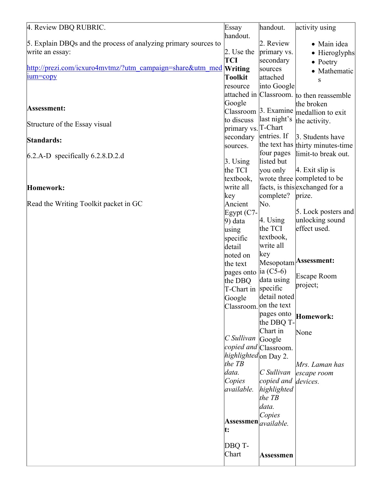| 4. Review DBQ RUBRIC.                                             | Essay                                          | handout.               | activity using                                |
|-------------------------------------------------------------------|------------------------------------------------|------------------------|-----------------------------------------------|
|                                                                   | handout.                                       |                        |                                               |
| 5. Explain DBQs and the process of analyzing primary sources to   |                                                | 2. Review              | • Main idea                                   |
| write an essay:                                                   | $\vert$ 2. Use the                             | primary vs.            | • Hieroglyphs                                 |
|                                                                   | TCI                                            | secondary              | $\bullet$ Poetry                              |
| http://prezi.com/icxuro4mvtmz/?utm_campaign=share&utm_med Writing |                                                | sources                | • Mathematic                                  |
| ium=copy                                                          | Toolkit                                        | attached               | S                                             |
|                                                                   | resource                                       | into Google            |                                               |
|                                                                   |                                                |                        | attached in Classroom. to then reassemble     |
|                                                                   | Google                                         |                        | the broken                                    |
| Assessment:                                                       |                                                |                        | Classroom $\beta$ . Examine medallion to exit |
|                                                                   | to discuss                                     | last night's           | the activity.                                 |
| Structure of the Essay visual                                     | primary vs. T-Chart                            |                        |                                               |
|                                                                   | secondary                                      | entries. If            | 3. Students have                              |
| Standards:                                                        | sources.                                       |                        | the text has thirty minutes-time              |
|                                                                   |                                                | four pages             | limit-to break out.                           |
| $6.2.A-D$ specifically 6.2.8.D.2.d                                | $\beta$ . Using                                | listed but             |                                               |
|                                                                   | the TCI                                        | you only               | $ 4$ . Exit slip is                           |
|                                                                   | textbook,                                      |                        | wrote three completed to be                   |
| Homework:                                                         | write all                                      |                        | facts, is this exchanged for a                |
|                                                                   | key                                            | complete?              | prize.                                        |
| Read the Writing Toolkit packet in GC                             | Ancient                                        | No.                    |                                               |
|                                                                   | Egypt $(C7 -$                                  |                        | 5. Lock posters and                           |
|                                                                   | $ 9)$ data                                     | $ 4.$ Using            | unlocking sound                               |
|                                                                   | using                                          | the TCI                | effect used.                                  |
|                                                                   | specific                                       | textbook,              |                                               |
|                                                                   | detail                                         | write all              |                                               |
|                                                                   |                                                | key                    |                                               |
|                                                                   | noted on                                       |                        | Mesopotam <b>Assessment:</b>                  |
|                                                                   | the text                                       | $ ia (C5-6) $          |                                               |
|                                                                   | pages onto                                     | data using             | <b>Escape Room</b>                            |
|                                                                   | the DBQ                                        |                        | project;                                      |
|                                                                   | T-Chart in specific                            | detail noted           |                                               |
|                                                                   | Google                                         |                        |                                               |
|                                                                   |                                                | Classroom. on the text |                                               |
|                                                                   |                                                | pages onto             | Homework:                                     |
|                                                                   |                                                | the DBQ T-             |                                               |
|                                                                   | $ C \textit{Sullivan} $ Google                 | Chart in               | None                                          |
|                                                                   |                                                | copied and Classroom.  |                                               |
|                                                                   | highlighted on Day 2.                          |                        |                                               |
|                                                                   | the $TB$                                       |                        |                                               |
|                                                                   | data.                                          | C Sullivan             | Mrs. Laman has                                |
|                                                                   |                                                |                        | escape room                                   |
|                                                                   | Copies                                         | copied and devices.    |                                               |
|                                                                   | available.                                     | highlighted            |                                               |
|                                                                   |                                                | the $TB$               |                                               |
|                                                                   |                                                | data.                  |                                               |
|                                                                   |                                                | Copies                 |                                               |
|                                                                   | $ $ Assessmen $ $ <sub>available.</sub><br>lt: |                        |                                               |
|                                                                   |                                                |                        |                                               |
|                                                                   | DBQ T-                                         |                        |                                               |
|                                                                   | Chart                                          |                        |                                               |
|                                                                   |                                                | Assessmen              |                                               |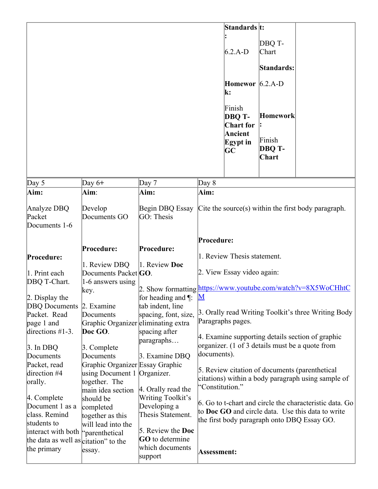|                                      |                                                |                                                               |                          | Standards t:                                                      |                                              |                                                          |
|--------------------------------------|------------------------------------------------|---------------------------------------------------------------|--------------------------|-------------------------------------------------------------------|----------------------------------------------|----------------------------------------------------------|
|                                      |                                                |                                                               |                          |                                                                   |                                              |                                                          |
|                                      |                                                |                                                               |                          | $6.2.A-D$                                                         | DBQ T-<br>Chart                              |                                                          |
|                                      |                                                |                                                               |                          |                                                                   |                                              |                                                          |
|                                      |                                                |                                                               |                          |                                                                   | Standards:                                   |                                                          |
|                                      |                                                |                                                               |                          | Homewor $6.2.A-D$<br>k:                                           |                                              |                                                          |
|                                      |                                                |                                                               |                          | Finish<br>DBQ T-<br><b>Chart</b> for<br>Ancient<br>Egypt in<br>GC | <b>Homework</b><br>Finish<br>DBQ T-<br>Chart |                                                          |
|                                      |                                                |                                                               |                          |                                                                   |                                              |                                                          |
| Day $5$                              | Day $6+$                                       | Day $7$                                                       | Day 8                    |                                                                   |                                              |                                                          |
| Aim:                                 | Aim:                                           | Aim:                                                          | Aim:                     |                                                                   |                                              |                                                          |
| Analyze DBQ                          | Develop                                        | Begin DBQ Essay                                               |                          |                                                                   |                                              | Cite the source(s) within the first body paragraph.      |
| Packet                               | Documents GO                                   | GO: Thesis                                                    |                          |                                                                   |                                              |                                                          |
| Documents 1-6                        |                                                |                                                               |                          |                                                                   |                                              |                                                          |
|                                      |                                                |                                                               |                          |                                                                   |                                              |                                                          |
|                                      |                                                |                                                               | Procedure:               |                                                                   |                                              |                                                          |
|                                      | Procedure:                                     | Procedure:                                                    |                          |                                                                   |                                              |                                                          |
| Procedure:                           |                                                |                                                               |                          | 1. Review Thesis statement.                                       |                                              |                                                          |
|                                      | 1. Review DBQ                                  | 1. Review Doc                                                 |                          |                                                                   |                                              |                                                          |
| 1. Print each                        | Documents Packet GO.                           |                                                               |                          | 2. View Essay video again:                                        |                                              |                                                          |
| DBQ T-Chart.                         | 1-6 answers using                              | 2. Show formatting https://www.youtube.com/watch?v=8X5WoCHhtC |                          |                                                                   |                                              |                                                          |
|                                      | key.                                           |                                                               | $\underline{\mathbf{M}}$ |                                                                   |                                              |                                                          |
| $2.$ Display the                     |                                                | for heading and $\P$ :                                        |                          |                                                                   |                                              |                                                          |
| <b>DBQ</b> Documents                 | 2. Examine                                     | tab indent, line                                              |                          |                                                                   |                                              | 3. Orally read Writing Toolkit's three Writing Body      |
| Packet. Read                         | Documents                                      | spacing, font, size,                                          |                          | Paragraphs pages.                                                 |                                              |                                                          |
| page 1 and<br>directions $#1-3$ .    | Graphic Organizer eliminating extra<br>Doc GO. |                                                               |                          |                                                                   |                                              |                                                          |
|                                      |                                                | spacing after                                                 |                          |                                                                   |                                              | 4. Examine supporting details section of graphic         |
| $\beta$ . In DBQ                     | 3. Complete                                    | paragraphs                                                    |                          |                                                                   |                                              | organizer. (1 of 3 details must be a quote from          |
| Documents                            | Documents                                      | 3. Examine DBQ                                                | documents).              |                                                                   |                                              |                                                          |
| Packet, read                         | Graphic Organizer Essay Graphic                |                                                               |                          |                                                                   |                                              |                                                          |
| direction #4                         | using Document 1 Organizer.                    |                                                               |                          |                                                                   |                                              | 5. Review citation of documents (parenthetical           |
| orally.                              | together. The                                  |                                                               |                          |                                                                   |                                              | citations) within a body paragraph using sample of       |
|                                      | main idea section                              | 4. Orally read the                                            | "Constitution."          |                                                                   |                                              |                                                          |
| 4. Complete                          | should be                                      | Writing Toolkit's                                             |                          |                                                                   |                                              |                                                          |
| Document 1 as a                      | completed                                      | Developing a                                                  |                          |                                                                   |                                              | 6. Go to t-chart and circle the characteristic data. Go  |
| class. Remind                        | together as this                               | Thesis Statement.                                             |                          |                                                                   |                                              | to <b>Doc GO</b> and circle data. Use this data to write |
| students to                          | will lead into the                             |                                                               |                          |                                                                   |                                              | the first body paragraph onto DBQ Essay GO.              |
| interact with both                   | "parenthetical                                 | 5. Review the <b>Doc</b>                                      |                          |                                                                   |                                              |                                                          |
| the data as well as citation" to the |                                                | GO to determine                                               |                          |                                                                   |                                              |                                                          |
| the primary                          | essay.                                         | which documents<br>support                                    | Assessment:              |                                                                   |                                              |                                                          |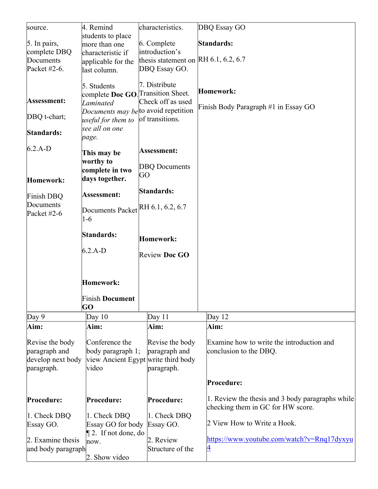| source.            | 4. Remind                            | characteristics.                     | DBQ Essay GO                                     |
|--------------------|--------------------------------------|--------------------------------------|--------------------------------------------------|
|                    | students to place                    |                                      |                                                  |
| 5. In pairs,       | more than one                        | 6. Complete                          | Standards:                                       |
| complete DBQ       | characteristic if                    | introduction's                       |                                                  |
| Documents          |                                      | thesis statement on RH 6.1, 6.2, 6.7 |                                                  |
|                    | applicable for the                   |                                      |                                                  |
| Packet #2-6.       | last column.                         | DBQ Essay GO.                        |                                                  |
|                    |                                      |                                      |                                                  |
|                    | 5. Students                          | 7. Distribute                        | Homework:                                        |
|                    | complete Doc GO. Transition Sheet.   |                                      |                                                  |
| Assessment:        | Laminated                            | Check off as used                    |                                                  |
|                    | Documents may be to avoid repetition |                                      | Finish Body Paragraph #1 in Essay GO             |
| DBQ t-chart;       | useful for them to                   | of transitions.                      |                                                  |
|                    |                                      |                                      |                                                  |
| Standards:         | see all on one                       |                                      |                                                  |
|                    | page.                                |                                      |                                                  |
| $6.2.A-D$          |                                      |                                      |                                                  |
|                    | This may be                          | Assessment:                          |                                                  |
|                    | worthy to                            |                                      |                                                  |
|                    | complete in two                      | <b>DBQ</b> Documents                 |                                                  |
|                    | days together.                       | GО                                   |                                                  |
| Homework:          |                                      |                                      |                                                  |
|                    | Assessment:                          | Standards:                           |                                                  |
| Finish DBQ         |                                      |                                      |                                                  |
| Documents          | Documents Packet RH 6.1, 6.2, 6.7    |                                      |                                                  |
| Packet $#2-6$      |                                      |                                      |                                                  |
|                    | $1-6$                                |                                      |                                                  |
|                    |                                      |                                      |                                                  |
|                    | Standards:                           | <b>Homework:</b>                     |                                                  |
|                    |                                      |                                      |                                                  |
|                    | $6.2.A-D$                            | Review Doc GO                        |                                                  |
|                    |                                      |                                      |                                                  |
|                    |                                      |                                      |                                                  |
|                    |                                      |                                      |                                                  |
|                    | Homework:                            |                                      |                                                  |
|                    |                                      |                                      |                                                  |
|                    | <b>Finish Document</b>               |                                      |                                                  |
|                    | GO                                   |                                      |                                                  |
|                    |                                      |                                      |                                                  |
| Day 9              | Day $10$                             | Day $11$                             | Day $12$                                         |
| Aim:               | Aim:                                 | Aim:                                 | Aim:                                             |
|                    |                                      |                                      |                                                  |
| Revise the body    | Conference the                       | Revise the body                      | Examine how to write the introduction and        |
| paragraph and      | body paragraph $1$ ;                 | paragraph and                        | conclusion to the DBQ.                           |
| develop next body  |                                      | view Ancient Egypt write third body  |                                                  |
| paragraph.         | video                                | paragraph.                           |                                                  |
|                    |                                      |                                      |                                                  |
|                    |                                      |                                      | Procedure:                                       |
|                    |                                      |                                      |                                                  |
| Procedure:         | Procedure:                           | Procedure:                           | 1. Review the thesis and 3 body paragraphs while |
|                    |                                      |                                      | checking them in GC for HW score.                |
|                    |                                      |                                      |                                                  |
| 1. Check DBQ       | 1. Check DBQ                         | 1. Check DBQ                         | 2 View How to Write a Hook.                      |
| Essay GO.          | Essay GO for body                    | Essay GO.                            |                                                  |
|                    | $\P$ 2. If not done, do              |                                      |                                                  |
| 2. Examine thesis  | now.                                 | 2. Review                            | https://www.youtube.com/watch?v=Rnq17dyxyu       |
| and body paragraph |                                      | Structure of the                     | 4                                                |
|                    | 2. Show video                        |                                      |                                                  |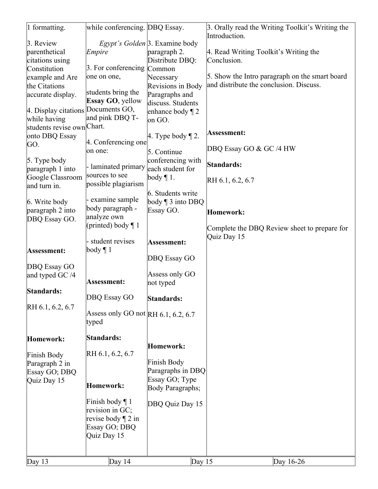| Day $13$                                             | Day $14$                                                                                       | Day $15$                                                               | Day 16-26                                                         |
|------------------------------------------------------|------------------------------------------------------------------------------------------------|------------------------------------------------------------------------|-------------------------------------------------------------------|
|                                                      | Finish body $\P$ 1<br>revision in GC;<br>revise body $\P$ 2 in<br>Essay GO; DBQ<br>Quiz Day 15 | DBQ Quiz Day 15                                                        |                                                                   |
| Paragraph 2 in<br>Essay GO; DBQ<br>Quiz Day 15       | Homework:                                                                                      | Finish Body<br>Paragraphs in DBQ<br>Essay GO; Type<br>Body Paragraphs; |                                                                   |
| Finish Body                                          | RH 6.1, 6.2, 6.7                                                                               | Homework:                                                              |                                                                   |
| Homework:                                            | Standards:                                                                                     |                                                                        |                                                                   |
| RH 6.1, 6.2, 6.7                                     | Assess only GO not RH 6.1, 6.2, 6.7<br>typed                                                   |                                                                        |                                                                   |
| Standards:                                           | DBQ Essay GO                                                                                   | Standards:                                                             |                                                                   |
| DBQ Essay GO<br>and typed GC /4                      | Assessment:                                                                                    | DBQ Essay GO<br>Assess only GO<br>not typed                            |                                                                   |
| Assessment:                                          | - student revises<br>$\boldsymbol{\text{body}} \, \P \, 1$                                     | Assessment:                                                            | Quiz Day 15                                                       |
| DBQ Essay GO.                                        | analyze own<br>(printed) body $\P$ 1                                                           |                                                                        | Homework:<br>Complete the DBQ Review sheet to prepare for         |
| 6. Write body<br>paragraph 2 into                    | - examine sample<br>body paragraph -                                                           | 6. Students write<br>body $\P$ 3 into DBQ<br>Essay GO.                 |                                                                   |
| paragraph 1 into<br>Google Classroom<br>and turn in. | - laminated primary<br>sources to see<br>possible plagiarism                                   | each student for<br>body $\P$ 1.                                       | RH 6.1, 6.2, 6.7                                                  |
| 5. Type body                                         |                                                                                                | 5. Continue<br>conferencing with                                       | Standards:                                                        |
| onto DBQ Essay<br>GO.                                | 4. Conferencing one<br>on one:                                                                 | 4. Type body $\P$ 2.                                                   | Assessment:<br>DBQ Essay GO & GC /4 HW                            |
| while having<br>students revise own Chart.           | and pink DBQ T-                                                                                | on GO.                                                                 |                                                                   |
| 4. Display citations Documents GO,                   | Essay GO, yellow                                                                               | discuss. Students<br>enhance body $\P$ 2                               |                                                                   |
| the Citations<br>accurate display.                   | students bring the                                                                             | Revisions in Body<br>Paragraphs and                                    | and distribute the conclusion. Discuss.                           |
| Constitution<br>example and Are                      | 3. For conferencing<br>one on one,                                                             | Common<br>Necessary                                                    | 5. Show the Intro paragraph on the smart board                    |
| citations using                                      | Empire                                                                                         | paragraph 2.<br>Distribute DBQ:                                        | 4. Read Writing Toolkit's Writing the<br>Conclusion.              |
| 3. Review<br>parenthetical                           |                                                                                                | Egypt's Golden <sup>[3</sup> . Examine body                            |                                                                   |
| 1 formatting.                                        | while conferencing. DBQ Essay.                                                                 |                                                                        | 3. Orally read the Writing Toolkit's Writing the<br>Introduction. |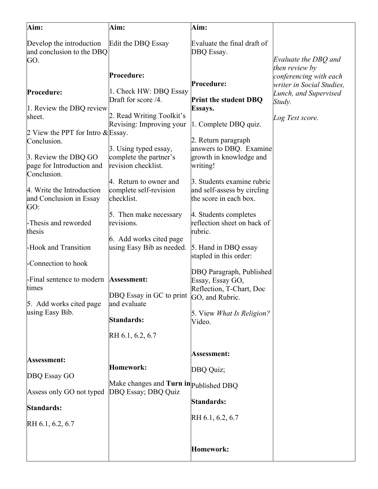| Aim:                                                             | Aim:                                                                       | Aim:                                                                                |                                                                       |
|------------------------------------------------------------------|----------------------------------------------------------------------------|-------------------------------------------------------------------------------------|-----------------------------------------------------------------------|
| Develop the introduction<br>and conclusion to the DBQ<br>GO.     | Edit the DBQ Essay                                                         | Evaluate the final draft of<br>DBQ Essay.                                           | Evaluate the DBQ and                                                  |
|                                                                  | Procedure:                                                                 | Procedure:                                                                          | then review by<br>conferencing with each<br>writer in Social Studies, |
| Procedure:<br>1. Review the DBQ review<br>sheet.                 | 1. Check HW: DBQ Essay<br>Draft for score /4.<br>2. Read Writing Toolkit's | <b>Print the student DBQ</b><br>Essays.                                             | Lunch, and Supervised<br>Study.<br>Log Test score.                    |
| 2 View the PPT for Intro $\&$ Essay.<br>Conclusion.              | Revising: Improving your<br>3. Using typed essay,                          | 1. Complete DBQ quiz.<br>2. Return paragraph<br>answers to DBQ. Examine             |                                                                       |
| 3. Review the DBQ GO<br>page for Introduction and<br>Conclusion. | complete the partner's<br>revision checklist.                              | growth in knowledge and<br>writing!                                                 |                                                                       |
| 4. Write the Introduction<br>and Conclusion in Essay<br>GO:      | 4. Return to owner and<br>complete self-revision<br>checklist.             | 3. Students examine rubric<br>and self-assess by circling<br>the score in each box. |                                                                       |
| -Thesis and reworded<br>thesis                                   | 5. Then make necessary<br>revisions.<br>6. Add works cited page            | 4. Students completes<br>reflection sheet on back of<br>rubric.                     |                                                                       |
| -Hook and Transition<br>-Connection to hook                      | using Easy Bib as needed.                                                  | 5. Hand in DBQ essay<br>stapled in this order:                                      |                                                                       |
| -Final sentence to modern<br>times                               | Assessment:<br>DBQ Essay in GC to print GO, and Rubric.                    | DBQ Paragraph, Published<br>Essay, Essay GO,<br>Reflection, T-Chart, Doc            |                                                                       |
| 5. Add works cited page<br>using Easy Bib.                       | and evaluate<br>Standards:                                                 | 5. View <i>What Is Religion?</i><br>Video.                                          |                                                                       |
|                                                                  | RH 6.1, 6.2, 6.7                                                           |                                                                                     |                                                                       |
| Assessment:                                                      | Homework:                                                                  | Assessment:<br>DBQ Quiz;                                                            |                                                                       |
| DBQ Essay GO                                                     | Make changes and Turn in published DBQ                                     |                                                                                     |                                                                       |
| Assess only GO not typed<br>Standards:                           | DBQ Essay; DBQ Quiz                                                        | Standards:                                                                          |                                                                       |
| RH 6.1, 6.2, 6.7                                                 |                                                                            | RH 6.1, 6.2, 6.7                                                                    |                                                                       |
|                                                                  |                                                                            | Homework:                                                                           |                                                                       |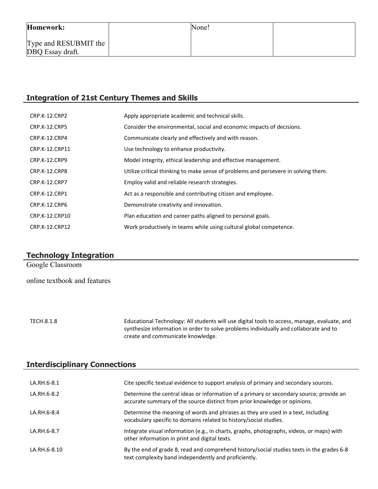| Homework:                                         | None! |  |
|---------------------------------------------------|-------|--|
| Type and RESUBMIT the $\vert$<br>DBQ Essay draft. |       |  |

# **Integration of 21st Century Themes and Skills**

| <b>CRP.K-12.CRP2</b> | Apply appropriate academic and technical skills.                                   |
|----------------------|------------------------------------------------------------------------------------|
| <b>CRP.K-12.CRP5</b> | Consider the environmental, social and economic impacts of decisions.              |
| CRP.K-12.CRP4        | Communicate clearly and effectively and with reason.                               |
| CRP.K-12.CRP11       | Use technology to enhance productivity.                                            |
| <b>CRP.K-12.CRP9</b> | Model integrity, ethical leadership and effective management.                      |
| CRP.K-12.CRP8        | Utilize critical thinking to make sense of problems and persevere in solving them. |
| <b>CRP.K-12.CRP7</b> | Employ valid and reliable research strategies.                                     |
| CRP.K-12.CRP1        | Act as a responsible and contributing citizen and employee.                        |
| <b>CRP.K-12.CRP6</b> | Demonstrate creativity and innovation.                                             |
| CRP.K-12.CRP10       | Plan education and career paths aligned to personal goals.                         |
| CRP.K-12.CRP12       | Work productively in teams while using cultural global competence.                 |

# **Technology Integration**

Google Classroom

online textbook and features

TECH.8.1.8 Educational Technology: All students will use digital tools to access, manage, evaluate, and synthesize information in order to solve problems individually and collaborate and to create and communicate knowledge.

# **Interdisciplinary Connections**

| LA.RH.6-8.1  | Cite specific textual evidence to support analysis of primary and secondary sources.                                                                                 |
|--------------|----------------------------------------------------------------------------------------------------------------------------------------------------------------------|
| LA.RH.6-8.2  | Determine the central ideas or information of a primary or secondary source; provide an<br>accurate summary of the source distinct from prior knowledge or opinions. |
| LA.RH.6-8.4  | Determine the meaning of words and phrases as they are used in a text, including<br>vocabulary specific to domains related to history/social studies.                |
| LA.RH.6-8.7  | Integrate visual information (e.g., in charts, graphs, photographs, videos, or maps) with<br>other information in print and digital texts.                           |
| LA.RH.6-8.10 | By the end of grade 8, read and comprehend history/social studies texts in the grades 6-8<br>text complexity band independently and proficiently.                    |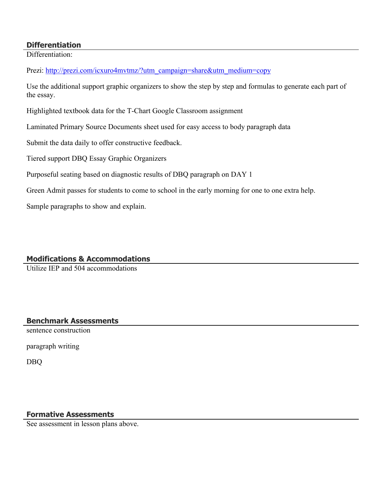#### **Differentiation**

Differentiation:

Prezi: [http://prezi.com/icxuro4mvtmz/?utm\\_campaign=share&utm\\_medium=copy](http://prezi.com/icxuro4mvtmz/?utm_campaign=share&utm_medium=copy)

Use the additional support graphic organizers to show the step by step and formulas to generate each part of the essay.

Highlighted textbook data for the T-Chart Google Classroom assignment

Laminated Primary Source Documents sheet used for easy access to body paragraph data

Submit the data daily to offer constructive feedback.

Tiered support DBQ Essay Graphic Organizers

Purposeful seating based on diagnostic results of DBQ paragraph on DAY 1

Green Admit passes for students to come to school in the early morning for one to one extra help.

Sample paragraphs to show and explain.

# **Modifications & Accommodations**

Utilize IEP and 504 accommodations

## **Benchmark Assessments**

sentence construction

paragraph writing

DBQ

## **Formative Assessments**

See assessment in lesson plans above.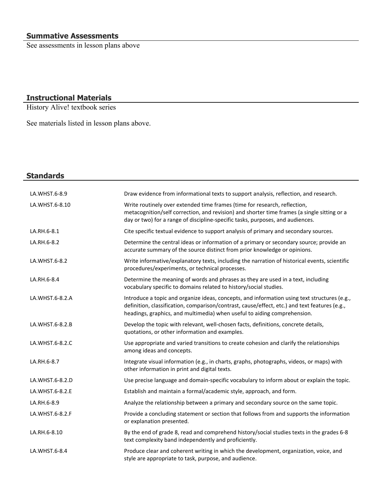See assessments in lesson plans above

# **Instructional Materials**

History Alive! textbook series

See materials listed in lesson plans above.

| <b>Standards</b> |                                                                                                                                                                                                                                                                           |
|------------------|---------------------------------------------------------------------------------------------------------------------------------------------------------------------------------------------------------------------------------------------------------------------------|
| LA.WHST.6-8.9    | Draw evidence from informational texts to support analysis, reflection, and research.                                                                                                                                                                                     |
| LA.WHST.6-8.10   | Write routinely over extended time frames (time for research, reflection,<br>metacognition/self correction, and revision) and shorter time frames (a single sitting or a<br>day or two) for a range of discipline-specific tasks, purposes, and audiences.                |
| LA.RH.6-8.1      | Cite specific textual evidence to support analysis of primary and secondary sources.                                                                                                                                                                                      |
| LA.RH.6-8.2      | Determine the central ideas or information of a primary or secondary source; provide an<br>accurate summary of the source distinct from prior knowledge or opinions.                                                                                                      |
| LA.WHST.6-8.2    | Write informative/explanatory texts, including the narration of historical events, scientific<br>procedures/experiments, or technical processes.                                                                                                                          |
| LA.RH.6-8.4      | Determine the meaning of words and phrases as they are used in a text, including<br>vocabulary specific to domains related to history/social studies.                                                                                                                     |
| LA.WHST.6-8.2.A  | Introduce a topic and organize ideas, concepts, and information using text structures (e.g.,<br>definition, classification, comparison/contrast, cause/effect, etc.) and text features (e.g.,<br>headings, graphics, and multimedia) when useful to aiding comprehension. |
| LA.WHST.6-8.2.B  | Develop the topic with relevant, well-chosen facts, definitions, concrete details,<br>quotations, or other information and examples.                                                                                                                                      |
| LA.WHST.6-8.2.C  | Use appropriate and varied transitions to create cohesion and clarify the relationships<br>among ideas and concepts.                                                                                                                                                      |
| LA.RH.6-8.7      | Integrate visual information (e.g., in charts, graphs, photographs, videos, or maps) with<br>other information in print and digital texts.                                                                                                                                |
| LA.WHST.6-8.2.D  | Use precise language and domain-specific vocabulary to inform about or explain the topic.                                                                                                                                                                                 |
| LA.WHST.6-8.2.E  | Establish and maintain a formal/academic style, approach, and form.                                                                                                                                                                                                       |
| LA.RH.6-8.9      | Analyze the relationship between a primary and secondary source on the same topic.                                                                                                                                                                                        |
| LA.WHST.6-8.2.F  | Provide a concluding statement or section that follows from and supports the information<br>or explanation presented.                                                                                                                                                     |
| LA.RH.6-8.10     | By the end of grade 8, read and comprehend history/social studies texts in the grades 6-8<br>text complexity band independently and proficiently.                                                                                                                         |
| LA.WHST.6-8.4    | Produce clear and coherent writing in which the development, organization, voice, and<br>style are appropriate to task, purpose, and audience.                                                                                                                            |